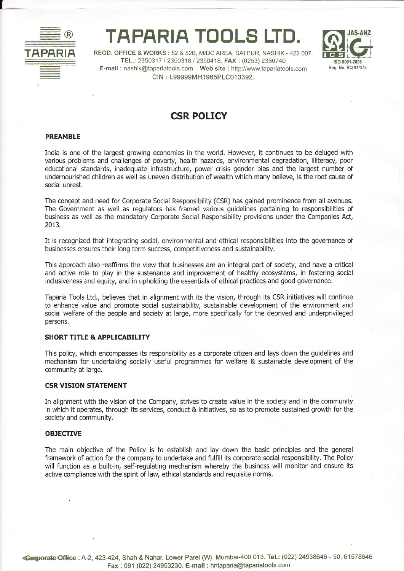

# TAPARIA TOOLS LTD.



REGD. OFFICE & WORKS: 52 & 52B, MIDC AREA, SATPUR, NASHIK - 422 007. TEL.: 2350317 / 2350318 / 2350418. FAX : (0253) 2350740 E-mail : nashik@tapariatools.com Web site : http://www.tapariatools.com CIN : L99999MH1 965PLCo1 3392.

# CSR POLICY

#### PREAMBLE

India is one of the largest growing economies in the world. However, it continues to be deluged with various problems and challenges of poverty, health hazards, environmental degradation, illiteracy, poor educational standards, inadequate infrastructure, power crisis gender bias and the largest number of undernourished children as well as uneven distribution of wealth which many believe, is the root cause of social unrest.

The concept and need for Corporate Social Responsibility (CSR) has gained prominence from all avenues. The Government as well as regulators has framed various guidelines peftaining to responsibllities of business as well as the mandatory Corporate Social Responsibility provisions under the Companies Act, 2013.

It is recognized that integrating social, environmental and ethical responsibilities into the governance of businesses ensures their long term success, competitiveness and sustainability.

This approach also reaffirms the view that businesses are an integral part of society, and have a critical and active role to play in the sustenance and improvement of healthy ecosystems, in fostering social inclusiveness and equity, and in upholding the essentials of ethical practices and good governance.

Taparia Tools Ltd., believes that in alignment with its the vision, through its CSR initiatives will continue to enhance value and promote social sustainability, sustainable development of the environment and social welfare of the people and society at large, more specifically for the deprived and underprivileged persons.

#### SHORT TITLE & APPLICABILITY

This policy, which encompasses its responsibility as a corporate citizen and lays down the guidelines and mechanism for undertaking socially useful programmes for welfare & sustainable development of the community at large.

#### CSR VISION STATEMENT

In alignment with the vision of the Company, strives to create value in the society and in the community in which it operates, through its services, conduct & initiatives, so as to promote sustained growth for the society and community,

#### OBJECTIVE

The main objective of the Policy is to establish and lay down the basic principles and the general framework of action for the company to undertake and fulfill its corporate social responsibility. The Policy will function as a built-in, self-regulating mechanism whereby the business will monitor and ensure its active compliance with the spirit of law, ethical standards and requisite norms.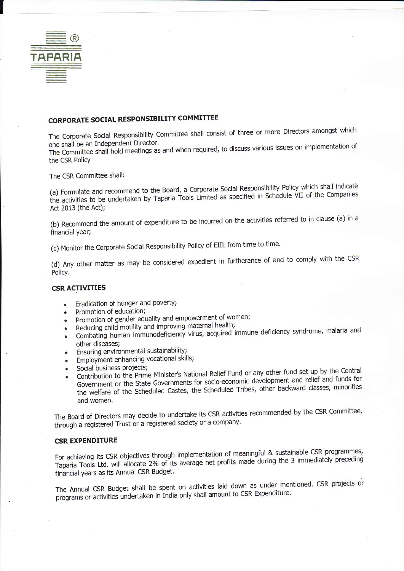

## **CORPORATE SOCIAL RESPONSIBILITY COMMITTEE**

The Corporate Social Responsibility Committee shall consist of three or more Directors amongst which one shall be an Independent Director.

The Committee shall hold meetings as and when required, to discuss various issues on implementation of the CSR Policy

The CSR Committee shall:

(a) Formulate and recommend to the Board, a Corporate Social Responsibility Policy which shall indicate the activities to be undertaken by Taparia Tools Limited as specified in Schedule VII of the Companies Act 2013 (the Act);

(b) Recommend the amount of expenditure to be incurred on the activities referred to in clause (a) in a financial year;

(c) Monitor the Corporate Social Responsibility Policy of EIIL from time to time.

(d) Any other matter as may be considered expedient in furtherance of and to comply with the CSR Policy.

#### **CSR ACTIVITIES**

- Eradication of hunger and poverty;
- Promotion of education;
- Promotion of gender equality and empowerment of women;
- Reducing child motility and improving maternal health;  $\bullet$
- Combating human immunodeficiency virus, acquired immune deficiency syndrome, malaria and  $\bullet$ other diseases;
- Ensuring environmental sustainability;
- Employment enhancing vocational skills;
- Social business projects;
- Contribution to the Prime Minister's National Relief Fund or any other fund set up by the Central Government or the State Governments for socio-economic development and relief and funds for the welfare of the Scheduled Castes, the Scheduled Tribes, other backward classes, minorities and women.

The Board of Directors may decide to undertake its CSR activities recommended by the CSR Committee, through a registered Trust or a registered society or a company.

## **CSR EXPENDITURE**

For achieving its CSR objectives through implementation of meaningful & sustainable CSR programmes, Taparia Tools Ltd. will allocate 2% of its average net profits made during the 3 immediately preceding financial years as its Annual CSR Budget.

The Annual CSR Budget shall be spent on activities laid down as under mentioned. CSR projects or programs or activities undertaken in India only shall amount to CSR Expenditure.